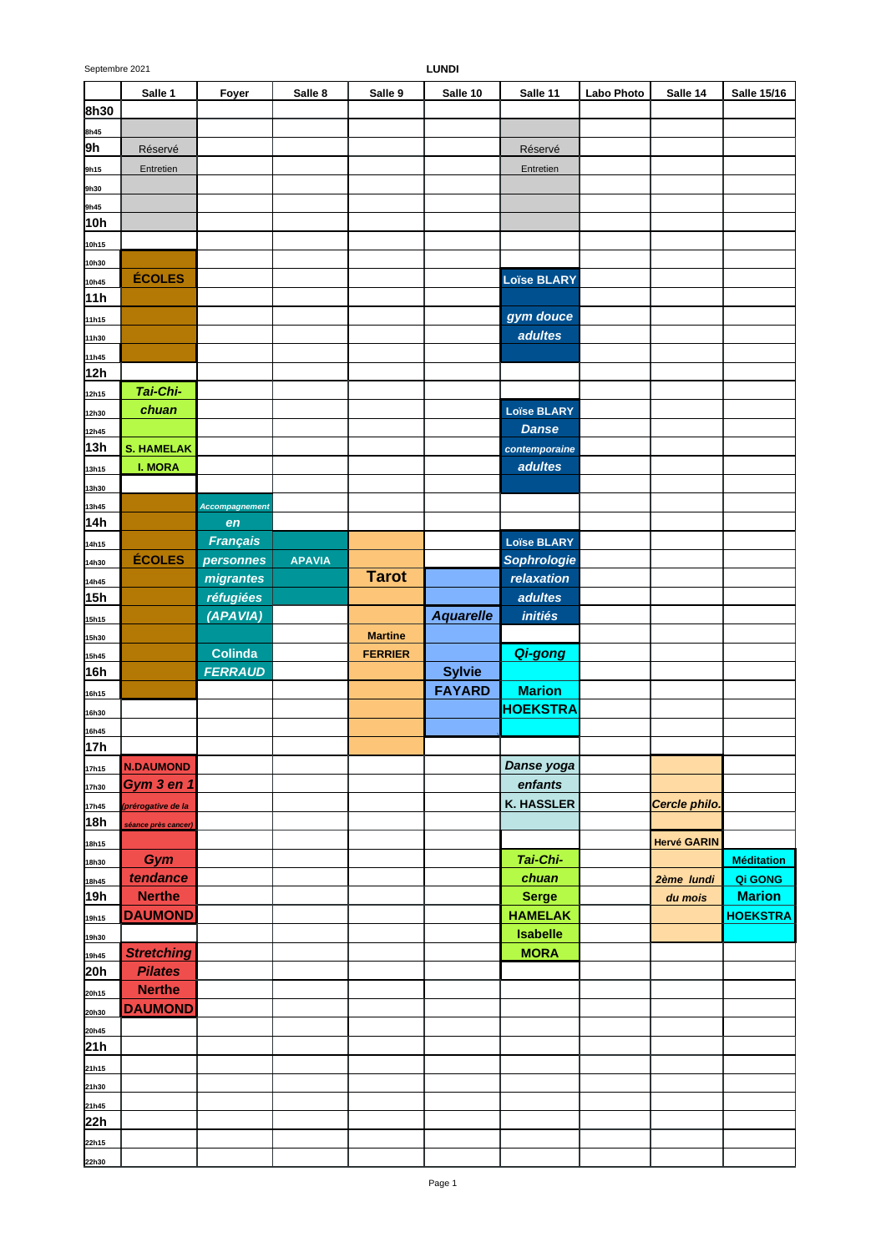|             | Salle 1                    | Foyer           | Salle 8       | Salle 9        | Salle 10         | Salle 11           | <b>Labo Photo</b> | Salle 14           | <b>Salle 15/16</b> |
|-------------|----------------------------|-----------------|---------------|----------------|------------------|--------------------|-------------------|--------------------|--------------------|
| 8h30        |                            |                 |               |                |                  |                    |                   |                    |                    |
| 8h45        |                            |                 |               |                |                  |                    |                   |                    |                    |
| 9h          | Réservé                    |                 |               |                |                  | Réservé            |                   |                    |                    |
| 9h15        | Entretien                  |                 |               |                |                  | Entretien          |                   |                    |                    |
| 9h30        |                            |                 |               |                |                  |                    |                   |                    |                    |
|             |                            |                 |               |                |                  |                    |                   |                    |                    |
| 9h45<br>10h |                            |                 |               |                |                  |                    |                   |                    |                    |
|             |                            |                 |               |                |                  |                    |                   |                    |                    |
| 10h15       |                            |                 |               |                |                  |                    |                   |                    |                    |
| 10h30       |                            |                 |               |                |                  |                    |                   |                    |                    |
| 10h45       | <b>ÉCOLES</b>              |                 |               |                |                  | <b>Loïse BLARY</b> |                   |                    |                    |
| 11h         |                            |                 |               |                |                  |                    |                   |                    |                    |
| 11h15       |                            |                 |               |                |                  | gym douce          |                   |                    |                    |
| 11h30       |                            |                 |               |                |                  | adultes            |                   |                    |                    |
| 11h45       |                            |                 |               |                |                  |                    |                   |                    |                    |
| 12h         |                            |                 |               |                |                  |                    |                   |                    |                    |
| 12h15       | Tai-Chi-                   |                 |               |                |                  |                    |                   |                    |                    |
| 12h30       | chuan                      |                 |               |                |                  | <b>Loïse BLARY</b> |                   |                    |                    |
| 12h45       |                            |                 |               |                |                  | <b>Danse</b>       |                   |                    |                    |
| 13h         | <b>S. HAMELAK</b>          |                 |               |                |                  | contemporaine      |                   |                    |                    |
| 13h15       | <b>I. MORA</b>             |                 |               |                |                  | adultes            |                   |                    |                    |
| 13h30       |                            |                 |               |                |                  |                    |                   |                    |                    |
| 13h45       |                            | Accompagnement  |               |                |                  |                    |                   |                    |                    |
| 14h         |                            | en              |               |                |                  |                    |                   |                    |                    |
| 14h15       |                            | <b>Français</b> |               |                |                  | <b>Loïse BLARY</b> |                   |                    |                    |
|             | <b>ÉCOLES</b>              | personnes       | <b>APAVIA</b> |                |                  | <b>Sophrologie</b> |                   |                    |                    |
| 14h30       |                            | migrantes       |               | <b>Tarot</b>   |                  | relaxation         |                   |                    |                    |
| 14h45       |                            |                 |               |                |                  | adultes            |                   |                    |                    |
| 15h         |                            | réfugiées       |               |                |                  |                    |                   |                    |                    |
| 15h15       |                            | (APAVIA)        |               |                | <b>Aquarelle</b> | initiés            |                   |                    |                    |
| 15h30       |                            |                 |               | <b>Martine</b> |                  |                    |                   |                    |                    |
| 15h45       |                            | <b>Colinda</b>  |               | <b>FERRIER</b> |                  | Qi-gong            |                   |                    |                    |
| 16h         |                            | <b>FERRAUD</b>  |               |                | <b>Sylvie</b>    |                    |                   |                    |                    |
| 16h15       |                            |                 |               |                | <b>FAYARD</b>    | <b>Marion</b>      |                   |                    |                    |
| 16h30       |                            |                 |               |                |                  | <b>HOEKSTRA</b>    |                   |                    |                    |
| 16h45       |                            |                 |               |                |                  |                    |                   |                    |                    |
| 17h         |                            |                 |               |                |                  |                    |                   |                    |                    |
| 17h15       | <b>N.DAUMOND</b>           |                 |               |                |                  | Danse yoga         |                   |                    |                    |
| 17h30       | Gym 3 en 1                 |                 |               |                |                  | enfants            |                   |                    |                    |
| 17h45       | prérogative de la          |                 |               |                |                  | <b>K. HASSLER</b>  |                   | Cercle philo.      |                    |
| 18h         | <u>séance près cancer)</u> |                 |               |                |                  |                    |                   |                    |                    |
| 18h15       |                            |                 |               |                |                  |                    |                   | <b>Hervé GARIN</b> |                    |
| 18h30       | Gym                        |                 |               |                |                  | Tai-Chi-           |                   |                    | <b>Méditation</b>  |
| 18h45       | tendance                   |                 |               |                |                  | chuan              |                   | 2ème lundi         | Qi GONG            |
| 19h         | <b>Nerthe</b>              |                 |               |                |                  | <b>Serge</b>       |                   | du mois            | <b>Marion</b>      |
| 19h15       | <b>DAUMOND</b>             |                 |               |                |                  | <b>HAMELAK</b>     |                   |                    | <b>HOEKSTRA</b>    |
| 19h30       |                            |                 |               |                |                  | <b>Isabelle</b>    |                   |                    |                    |
| 19h45       | <b>Stretching</b>          |                 |               |                |                  | <b>MORA</b>        |                   |                    |                    |
| 20h         | <b>Pilates</b>             |                 |               |                |                  |                    |                   |                    |                    |
|             | <b>Nerthe</b>              |                 |               |                |                  |                    |                   |                    |                    |
| 20h15       | <b>DAUMOND</b>             |                 |               |                |                  |                    |                   |                    |                    |
| 20h30       |                            |                 |               |                |                  |                    |                   |                    |                    |
| 20h45       |                            |                 |               |                |                  |                    |                   |                    |                    |
| 21h         |                            |                 |               |                |                  |                    |                   |                    |                    |
| 21h15       |                            |                 |               |                |                  |                    |                   |                    |                    |
| 21h30       |                            |                 |               |                |                  |                    |                   |                    |                    |
| 21h45       |                            |                 |               |                |                  |                    |                   |                    |                    |
| 22h         |                            |                 |               |                |                  |                    |                   |                    |                    |
| 22h15       |                            |                 |               |                |                  |                    |                   |                    |                    |
| 22h30       |                            |                 |               |                |                  |                    |                   |                    |                    |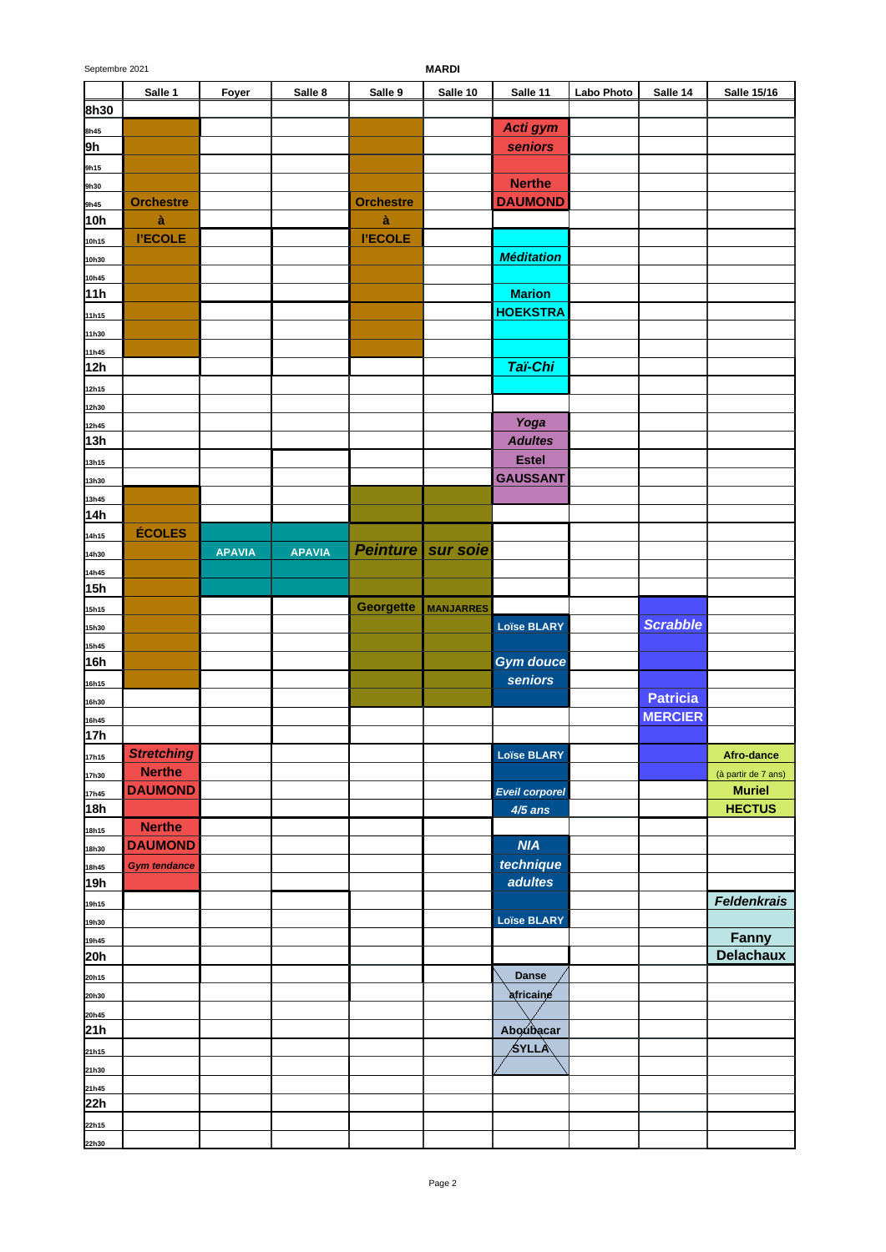| <b>MARDI</b> |
|--------------|
|              |

|                | Salle 1             | Foyer         | Salle 8       | Salle 9          | Salle 10         | Salle 11              | Labo Photo | Salle 14        | <b>Salle 15/16</b>  |
|----------------|---------------------|---------------|---------------|------------------|------------------|-----------------------|------------|-----------------|---------------------|
| 8h30           |                     |               |               |                  |                  |                       |            |                 |                     |
| 8h45           |                     |               |               |                  |                  | Acti gym              |            |                 |                     |
| 9h             |                     |               |               |                  |                  | seniors               |            |                 |                     |
| 9h15           |                     |               |               |                  |                  |                       |            |                 |                     |
| 9h30           |                     |               |               |                  |                  | <b>Nerthe</b>         |            |                 |                     |
| 9h45           | <b>Orchestre</b>    |               |               | <b>Orchestre</b> |                  | <b>DAUMOND</b>        |            |                 |                     |
| 10h            | à                   |               |               | à                |                  |                       |            |                 |                     |
| 10h15          | <b>I'ECOLE</b>      |               |               | <b>I'ECOLE</b>   |                  |                       |            |                 |                     |
| 10h30          |                     |               |               |                  |                  | <b>Méditation</b>     |            |                 |                     |
| 10h45          |                     |               |               |                  |                  |                       |            |                 |                     |
| 11h            |                     |               |               |                  |                  | <b>Marion</b>         |            |                 |                     |
| 11h15          |                     |               |               |                  |                  | <b>HOEKSTRA</b>       |            |                 |                     |
| 11h30          |                     |               |               |                  |                  |                       |            |                 |                     |
| 11h45          |                     |               |               |                  |                  |                       |            |                 |                     |
| 12h            |                     |               |               |                  |                  | Taï-Chi               |            |                 |                     |
| 12h15          |                     |               |               |                  |                  |                       |            |                 |                     |
| 12h30          |                     |               |               |                  |                  |                       |            |                 |                     |
| 12h45          |                     |               |               |                  |                  | Yoga                  |            |                 |                     |
| 13h            |                     |               |               |                  |                  | <b>Adultes</b>        |            |                 |                     |
| 13h15          |                     |               |               |                  |                  | <b>Estel</b>          |            |                 |                     |
| 13h30          |                     |               |               |                  |                  | <b>GAUSSANT</b>       |            |                 |                     |
| 13h45<br>14h   |                     |               |               |                  |                  |                       |            |                 |                     |
|                | ÉCOLES              |               |               |                  |                  |                       |            |                 |                     |
| 14h15          |                     |               | <b>APAVIA</b> | <b>Peinture</b>  | sur soie         |                       |            |                 |                     |
| 14h30          |                     | <b>APAVIA</b> |               |                  |                  |                       |            |                 |                     |
| 14h45<br>15h   |                     |               |               |                  |                  |                       |            |                 |                     |
|                |                     |               |               | <b>Georgette</b> | <b>MANJARRES</b> |                       |            |                 |                     |
| 15h15          |                     |               |               |                  |                  | <b>Loïse BLARY</b>    |            | <b>Scrabble</b> |                     |
| 15h30<br>15h45 |                     |               |               |                  |                  |                       |            |                 |                     |
| 16h            |                     |               |               |                  |                  | <b>Gym douce</b>      |            |                 |                     |
| 16h15          |                     |               |               |                  |                  | seniors               |            |                 |                     |
| 16h30          |                     |               |               |                  |                  |                       |            | <b>Patricia</b> |                     |
| 16h45          |                     |               |               |                  |                  |                       |            | <b>MERCIER</b>  |                     |
| 17h            |                     |               |               |                  |                  |                       |            |                 |                     |
| 17h15          | <b>Stretching</b>   |               |               |                  |                  | <b>Loïse BLARY</b>    |            |                 | Afro-dance          |
| 17h30          | <b>Nerthe</b>       |               |               |                  |                  |                       |            |                 | (à partir de 7 ans) |
| 17h45          | <b>DAUMOND</b>      |               |               |                  |                  | <b>Eveil corporel</b> |            |                 | <b>Muriel</b>       |
| 18h            |                     |               |               |                  |                  | $4/5$ ans             |            |                 | <b>HECTUS</b>       |
| 18h15          | <b>Nerthe</b>       |               |               |                  |                  |                       |            |                 |                     |
| 18h30          | <b>DAUMOND</b>      |               |               |                  |                  | <b>NIA</b>            |            |                 |                     |
| 18h45          | <b>Gym tendance</b> |               |               |                  |                  | technique             |            |                 |                     |
| 19h            |                     |               |               |                  |                  | adultes               |            |                 |                     |
| 19h15          |                     |               |               |                  |                  |                       |            |                 | <b>Feldenkrais</b>  |
| 19h30          |                     |               |               |                  |                  | <b>Loïse BLARY</b>    |            |                 |                     |
| 19h45          |                     |               |               |                  |                  |                       |            |                 | Fanny               |
| 20h            |                     |               |               |                  |                  |                       |            |                 | <b>Delachaux</b>    |
| 20h15          |                     |               |               |                  |                  | Danse                 |            |                 |                     |
| 20h30          |                     |               |               |                  |                  | africaine             |            |                 |                     |
| 20h45          |                     |               |               |                  |                  |                       |            |                 |                     |
| 21h            |                     |               |               |                  |                  | Aboubacar             |            |                 |                     |
| 21h15          |                     |               |               |                  |                  | ∕syllÀ                |            |                 |                     |
| 21h30          |                     |               |               |                  |                  |                       |            |                 |                     |
| 21h45          |                     |               |               |                  |                  |                       |            |                 |                     |
| 22h            |                     |               |               |                  |                  |                       |            |                 |                     |
| 22h15          |                     |               |               |                  |                  |                       |            |                 |                     |
| 22h30          |                     |               |               |                  |                  |                       |            |                 |                     |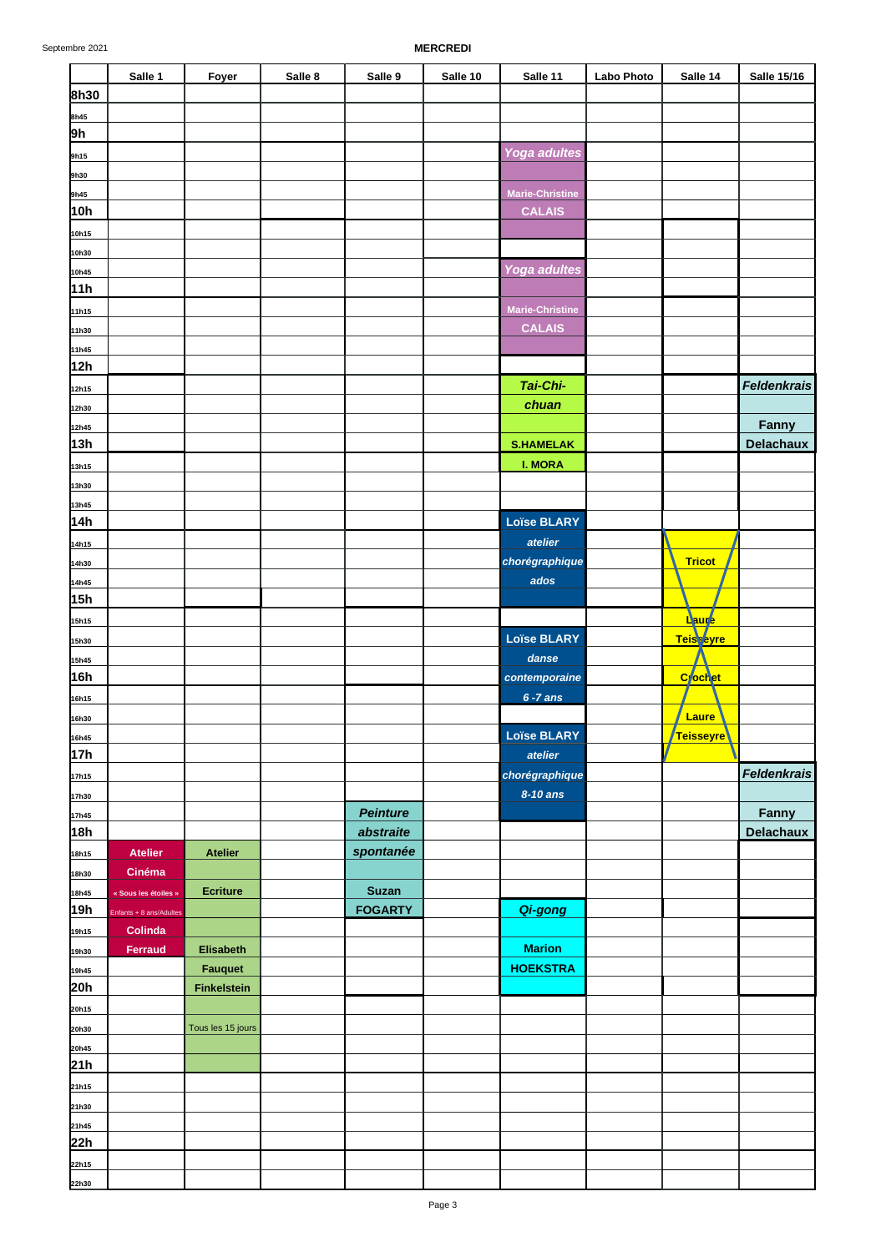|                | Salle 1                   | Foyer              | Salle 8 | Salle 9         | Salle 10 | Salle 11                     | <b>Labo Photo</b> | Salle 14            | <b>Salle 15/16</b>        |
|----------------|---------------------------|--------------------|---------|-----------------|----------|------------------------------|-------------------|---------------------|---------------------------|
| 8h30           |                           |                    |         |                 |          |                              |                   |                     |                           |
| 8h45           |                           |                    |         |                 |          |                              |                   |                     |                           |
| 9h             |                           |                    |         |                 |          |                              |                   |                     |                           |
| 9h15           |                           |                    |         |                 |          | <b>Yoga adultes</b>          |                   |                     |                           |
| 9h30           |                           |                    |         |                 |          | <b>Marie-Christine</b>       |                   |                     |                           |
| 9h45<br>10h    |                           |                    |         |                 |          | <b>CALAIS</b>                |                   |                     |                           |
| 10h15          |                           |                    |         |                 |          |                              |                   |                     |                           |
| 10h30          |                           |                    |         |                 |          |                              |                   |                     |                           |
| 10h45          |                           |                    |         |                 |          | <b>Yoga adultes</b>          |                   |                     |                           |
| 11h            |                           |                    |         |                 |          |                              |                   |                     |                           |
| 11h15          |                           |                    |         |                 |          | <b>Marie-Christine</b>       |                   |                     |                           |
| 11h30          |                           |                    |         |                 |          | <b>CALAIS</b>                |                   |                     |                           |
| 11h45          |                           |                    |         |                 |          |                              |                   |                     |                           |
| 12h            |                           |                    |         |                 |          |                              |                   |                     |                           |
| 12h15          |                           |                    |         |                 |          | Tai-Chi-                     |                   |                     | <b>Feldenkrais</b>        |
| 12h30          |                           |                    |         |                 |          | chuan                        |                   |                     |                           |
| 12h45<br>13h   |                           |                    |         |                 |          | <b>S.HAMELAK</b>             |                   |                     | Fanny<br><b>Delachaux</b> |
| 13h15          |                           |                    |         |                 |          | <b>I. MORA</b>               |                   |                     |                           |
| 13h30          |                           |                    |         |                 |          |                              |                   |                     |                           |
| 13h45          |                           |                    |         |                 |          |                              |                   |                     |                           |
| 14h            |                           |                    |         |                 |          | <b>Loïse BLARY</b>           |                   |                     |                           |
| 14h15          |                           |                    |         |                 |          | atelier                      |                   |                     |                           |
| 14h30          |                           |                    |         |                 |          | chorégraphique               |                   | <b>Tricot</b>       |                           |
| 14h45          |                           |                    |         |                 |          | ados                         |                   |                     |                           |
| 15h            |                           |                    |         |                 |          |                              |                   |                     |                           |
| 15h15          |                           |                    |         |                 |          |                              |                   | Laure               |                           |
| 15h30          |                           |                    |         |                 |          | <b>Loïse BLARY</b>           |                   | <b>Teisseyre</b>    |                           |
| 15h45<br>16h   |                           |                    |         |                 |          | danse                        |                   | C <sub>lochet</sub> |                           |
|                |                           |                    |         |                 |          | contemporaine<br>$6 - 7$ ans |                   |                     |                           |
| 16h15<br>16h30 |                           |                    |         |                 |          |                              |                   | Laure               |                           |
| 16h45          |                           |                    |         |                 |          | <b>Loïse BLARY</b>           |                   | <b>Teisseyre</b>    |                           |
| 17h            |                           |                    |         |                 |          | atelier                      |                   |                     |                           |
| 17h15          |                           |                    |         |                 |          | chorégraphique               |                   |                     | <b>Feldenkrais</b>        |
| 17h30          |                           |                    |         |                 |          | 8-10 ans                     |                   |                     |                           |
| 17h45          |                           |                    |         | <b>Peinture</b> |          |                              |                   |                     | Fanny                     |
| 18h            |                           |                    |         | abstraite       |          |                              |                   |                     | <b>Delachaux</b>          |
| 18h15          | <b>Atelier</b>            | <b>Atelier</b>     |         | spontanée       |          |                              |                   |                     |                           |
| 18h30          | Cinéma                    |                    |         |                 |          |                              |                   |                     |                           |
| 18h45          | « Sous les étoiles »      | <b>Ecriture</b>    |         | <b>Suzan</b>    |          |                              |                   |                     |                           |
| 19h            | Enfants + 8 ans/Adultes   |                    |         | <b>FOGARTY</b>  |          | Qi-gong                      |                   |                     |                           |
| 19h15          | Colinda<br><b>Ferraud</b> | <b>Elisabeth</b>   |         |                 |          | <b>Marion</b>                |                   |                     |                           |
| 19h30<br>19h45 |                           | <b>Fauquet</b>     |         |                 |          | <b>HOEKSTRA</b>              |                   |                     |                           |
| 20h            |                           | <b>Finkelstein</b> |         |                 |          |                              |                   |                     |                           |
| 20h15          |                           |                    |         |                 |          |                              |                   |                     |                           |
| 20h30          |                           | Tous les 15 jours  |         |                 |          |                              |                   |                     |                           |
| 20h45          |                           |                    |         |                 |          |                              |                   |                     |                           |
| 21h            |                           |                    |         |                 |          |                              |                   |                     |                           |
| 21h15          |                           |                    |         |                 |          |                              |                   |                     |                           |
| 21h30          |                           |                    |         |                 |          |                              |                   |                     |                           |
| 21h45          |                           |                    |         |                 |          |                              |                   |                     |                           |
| 22h            |                           |                    |         |                 |          |                              |                   |                     |                           |
| 22h15          |                           |                    |         |                 |          |                              |                   |                     |                           |
| 22h30          |                           |                    |         |                 |          |                              |                   |                     |                           |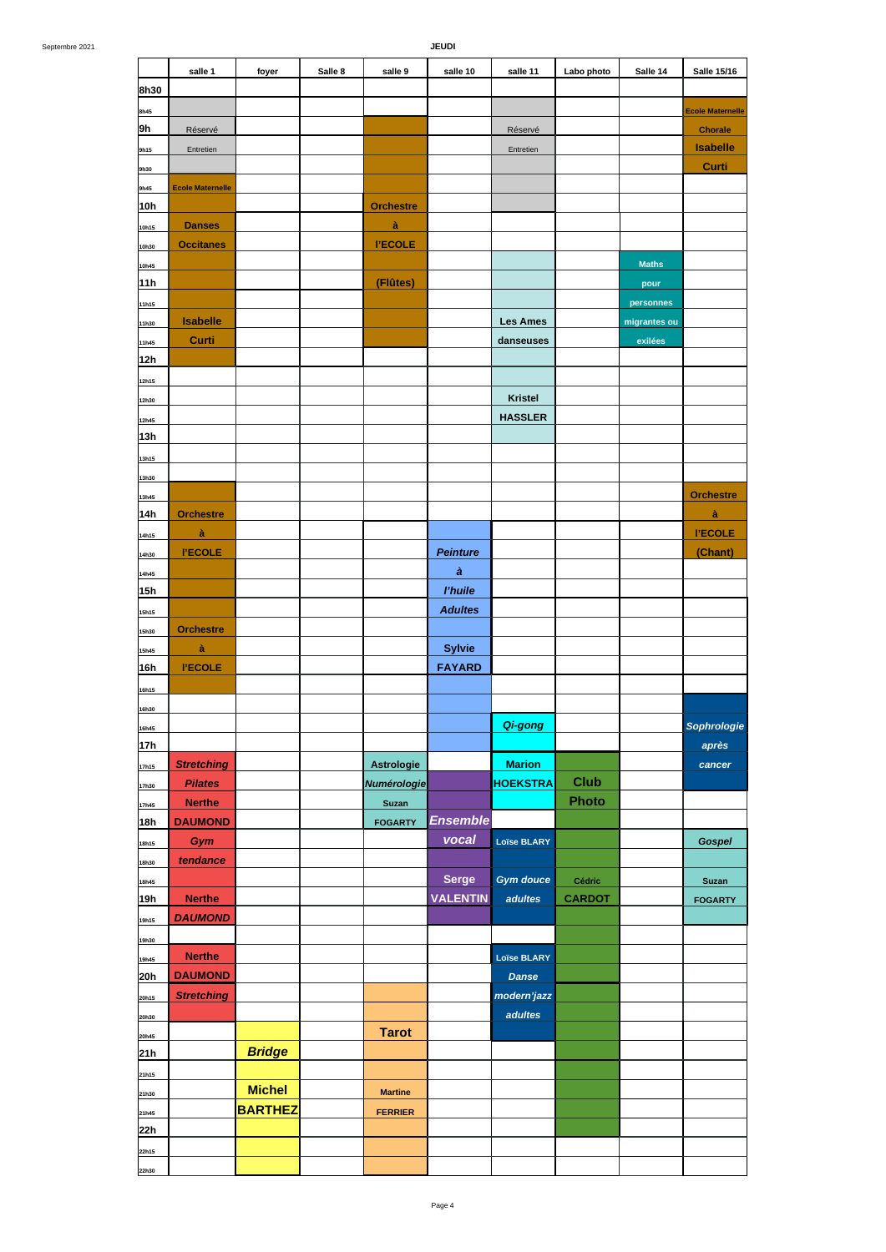|                 | salle 1                 | foyer          | Salle 8 | salle 9           | salle 10        | salle 11           | Labo photo    | Salle 14     | <b>Salle 15/16</b>      |
|-----------------|-------------------------|----------------|---------|-------------------|-----------------|--------------------|---------------|--------------|-------------------------|
| 8h30            |                         |                |         |                   |                 |                    |               |              |                         |
| 8h45            |                         |                |         |                   |                 |                    |               |              | <b>Ecole Maternelle</b> |
| 9h              | Réservé                 |                |         |                   |                 | Réservé            |               |              | <b>Chorale</b>          |
| 9h15            | Entretien               |                |         |                   |                 | Entretien          |               |              | <b>Isabelle</b>         |
| 9h30            |                         |                |         |                   |                 |                    |               |              | Curti                   |
| 9h45            | <b>Ecole Maternelle</b> |                |         |                   |                 |                    |               |              |                         |
| 10h             |                         |                |         | <b>Orchestre</b>  |                 |                    |               |              |                         |
| 10h15           | <b>Danses</b>           |                |         | à                 |                 |                    |               |              |                         |
| 10h30           | <b>Occitanes</b>        |                |         | <b>I'ECOLE</b>    |                 |                    |               |              |                         |
| 10h45           |                         |                |         |                   |                 |                    |               | <b>Maths</b> |                         |
| 11h             |                         |                |         | (Flûtes)          |                 |                    |               | pour         |                         |
| 11h15           |                         |                |         |                   |                 |                    |               | personnes    |                         |
| 11h30           | <b>Isabelle</b>         |                |         |                   |                 | <b>Les Ames</b>    |               | migrantes ou |                         |
| 11h45           | Curti                   |                |         |                   |                 | danseuses          |               | exilées      |                         |
| 12h             |                         |                |         |                   |                 |                    |               |              |                         |
| 12h15           |                         |                |         |                   |                 |                    |               |              |                         |
| 12h30           |                         |                |         |                   |                 | <b>Kristel</b>     |               |              |                         |
| 12h45           |                         |                |         |                   |                 | <b>HASSLER</b>     |               |              |                         |
| 13h             |                         |                |         |                   |                 |                    |               |              |                         |
| 13h15           |                         |                |         |                   |                 |                    |               |              |                         |
| 13h30           |                         |                |         |                   |                 |                    |               |              |                         |
| 13h45           |                         |                |         |                   |                 |                    |               |              | <b>Orchestre</b>        |
| 14h             | <b>Orchestre</b>        |                |         |                   |                 |                    |               |              | à                       |
| 14h15           | à                       |                |         |                   |                 |                    |               |              | <b>I'ECOLE</b>          |
| 14h30           | <b>I'ECOLE</b>          |                |         |                   | <b>Peinture</b> |                    |               |              | (Chant)                 |
| 14h45           |                         |                |         |                   | à               |                    |               |              |                         |
| 15h             |                         |                |         |                   | l'huile         |                    |               |              |                         |
| 15h15           |                         |                |         |                   | <b>Adultes</b>  |                    |               |              |                         |
| 15h30           | <b>Orchestre</b>        |                |         |                   |                 |                    |               |              |                         |
| 15h45           | à                       |                |         |                   | <b>Sylvie</b>   |                    |               |              |                         |
| 16h             | <b>I'ECOLE</b>          |                |         |                   | <b>FAYARD</b>   |                    |               |              |                         |
| 16h15           |                         |                |         |                   |                 |                    |               |              |                         |
| 16h30           |                         |                |         |                   |                 |                    |               |              |                         |
| 16h45           |                         |                |         |                   |                 | Qi-gong            |               |              | Sophrologie             |
| 17 <sub>h</sub> |                         |                |         |                   |                 |                    |               |              | après                   |
| 17h15           | <b>Stretching</b>       |                |         | <b>Astrologie</b> |                 | <b>Marion</b>      |               |              | cancer                  |
| 17h30           | <b>Pilates</b>          |                |         | Numérologie       |                 | <b>HOEKSTRA</b>    | <b>Club</b>   |              |                         |
| 17h45           | <b>Nerthe</b>           |                |         | Suzan             |                 |                    | Photo         |              |                         |
| 18h             | <b>DAUMOND</b>          |                |         | <b>FOGARTY</b>    | <b>Ensemble</b> |                    |               |              |                         |
| 18h15           | Gym                     |                |         |                   | vocal           | <b>Loïse BLARY</b> |               |              | <b>Gospel</b>           |
| 18h30           | tendance                |                |         |                   |                 |                    |               |              |                         |
| 18h45           |                         |                |         |                   | <b>Serge</b>    | <b>Gym douce</b>   | Cédric        |              | Suzan                   |
| 19h             | <b>Nerthe</b>           |                |         |                   | <b>VALENTIN</b> | adultes            | <b>CARDOT</b> |              | <b>FOGARTY</b>          |
| 19h15           | <b>DAUMOND</b>          |                |         |                   |                 |                    |               |              |                         |
| 19h30           |                         |                |         |                   |                 |                    |               |              |                         |
| 19h45           | <b>Nerthe</b>           |                |         |                   |                 | <b>Loïse BLARY</b> |               |              |                         |
| 20h             | <b>DAUMOND</b>          |                |         |                   |                 | <b>Danse</b>       |               |              |                         |
| 20h15           | <b>Stretching</b>       |                |         |                   |                 | modern'jazz        |               |              |                         |
| 20h30           |                         |                |         |                   |                 | adultes            |               |              |                         |
| 20h45           |                         |                |         | <b>Tarot</b>      |                 |                    |               |              |                         |
| 21h             |                         | <b>Bridge</b>  |         |                   |                 |                    |               |              |                         |
| 21h15           |                         |                |         |                   |                 |                    |               |              |                         |
| 21h30           |                         | <b>Michel</b>  |         | <b>Martine</b>    |                 |                    |               |              |                         |
|                 |                         | <b>BARTHEZ</b> |         | <b>FERRIER</b>    |                 |                    |               |              |                         |
| 21h45<br>22h    |                         |                |         |                   |                 |                    |               |              |                         |
| 22h15           |                         |                |         |                   |                 |                    |               |              |                         |
| 22h30           |                         |                |         |                   |                 |                    |               |              |                         |